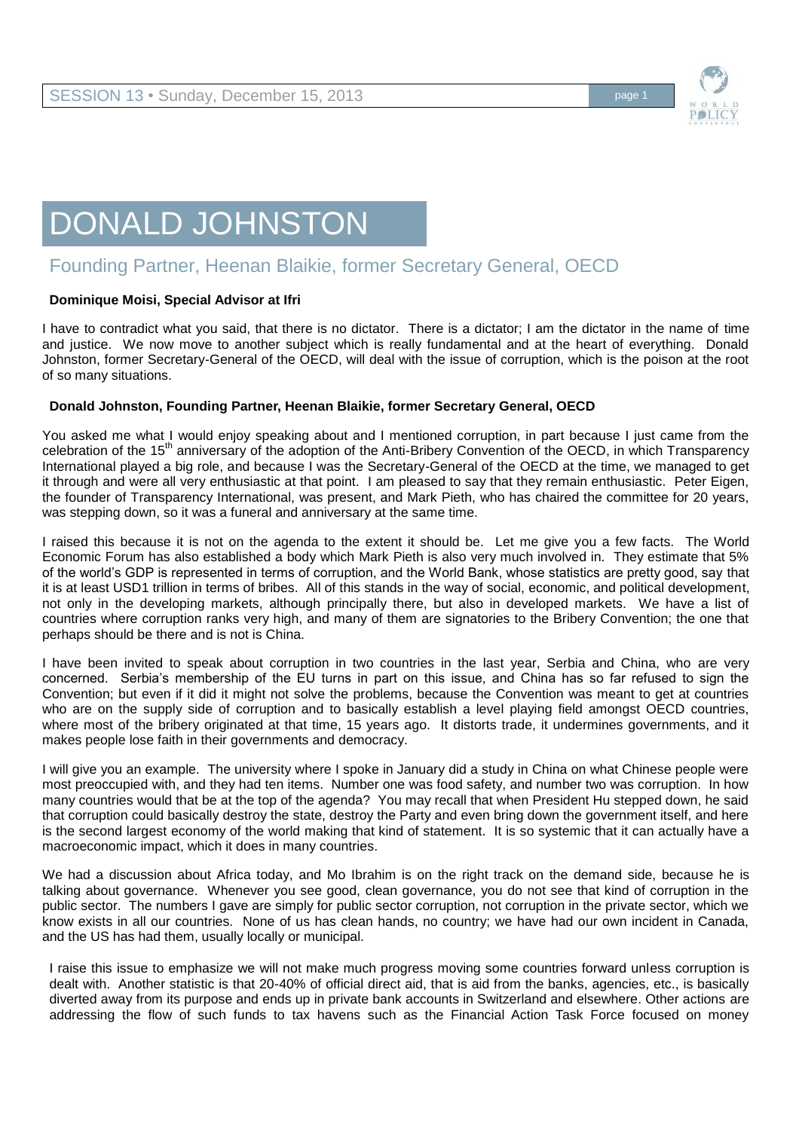

## DONALD JOHNSTON

## Founding Partner, Heenan Blaikie, former Secretary General, OECD

## **Dominique Moisi, Special Advisor at Ifri**

I have to contradict what you said, that there is no dictator. There is a dictator; I am the dictator in the name of time and justice. We now move to another subject which is really fundamental and at the heart of everything. Donald Johnston, former Secretary-General of the OECD, will deal with the issue of corruption, which is the poison at the root of so many situations.

## **Donald Johnston, Founding Partner, Heenan Blaikie, former Secretary General, OECD**

You asked me what I would enjoy speaking about and I mentioned corruption, in part because I just came from the celebration of the 15<sup>th</sup> anniversary of the adoption of the Anti-Bribery Convention of the OECD, in which Transparency International played a big role, and because I was the Secretary-General of the OECD at the time, we managed to get it through and were all very enthusiastic at that point. I am pleased to say that they remain enthusiastic. Peter Eigen, the founder of Transparency International, was present, and Mark Pieth, who has chaired the committee for 20 years, was stepping down, so it was a funeral and anniversary at the same time.

I raised this because it is not on the agenda to the extent it should be. Let me give you a few facts. The World Economic Forum has also established a body which Mark Pieth is also very much involved in. They estimate that 5% of the world's GDP is represented in terms of corruption, and the World Bank, whose statistics are pretty good, say that it is at least USD1 trillion in terms of bribes. All of this stands in the way of social, economic, and political development, not only in the developing markets, although principally there, but also in developed markets. We have a list of countries where corruption ranks very high, and many of them are signatories to the Bribery Convention; the one that perhaps should be there and is not is China.

I have been invited to speak about corruption in two countries in the last year, Serbia and China, who are very concerned. Serbia's membership of the EU turns in part on this issue, and China has so far refused to sign the Convention; but even if it did it might not solve the problems, because the Convention was meant to get at countries who are on the supply side of corruption and to basically establish a level playing field amongst OECD countries, where most of the bribery originated at that time, 15 years ago. It distorts trade, it undermines governments, and it makes people lose faith in their governments and democracy.

I will give you an example. The university where I spoke in January did a study in China on what Chinese people were most preoccupied with, and they had ten items. Number one was food safety, and number two was corruption. In how many countries would that be at the top of the agenda? You may recall that when President Hu stepped down, he said that corruption could basically destroy the state, destroy the Party and even bring down the government itself, and here is the second largest economy of the world making that kind of statement. It is so systemic that it can actually have a macroeconomic impact, which it does in many countries.

We had a discussion about Africa today, and Mo Ibrahim is on the right track on the demand side, because he is talking about governance. Whenever you see good, clean governance, you do not see that kind of corruption in the public sector. The numbers I gave are simply for public sector corruption, not corruption in the private sector, which we know exists in all our countries. None of us has clean hands, no country; we have had our own incident in Canada, and the US has had them, usually locally or municipal.

I raise this issue to emphasize we will not make much progress moving some countries forward unless corruption is dealt with. Another statistic is that 20-40% of official direct aid, that is aid from the banks, agencies, etc., is basically diverted away from its purpose and ends up in private bank accounts in Switzerland and elsewhere. Other actions are addressing the flow of such funds to tax havens such as the Financial Action Task Force focused on money